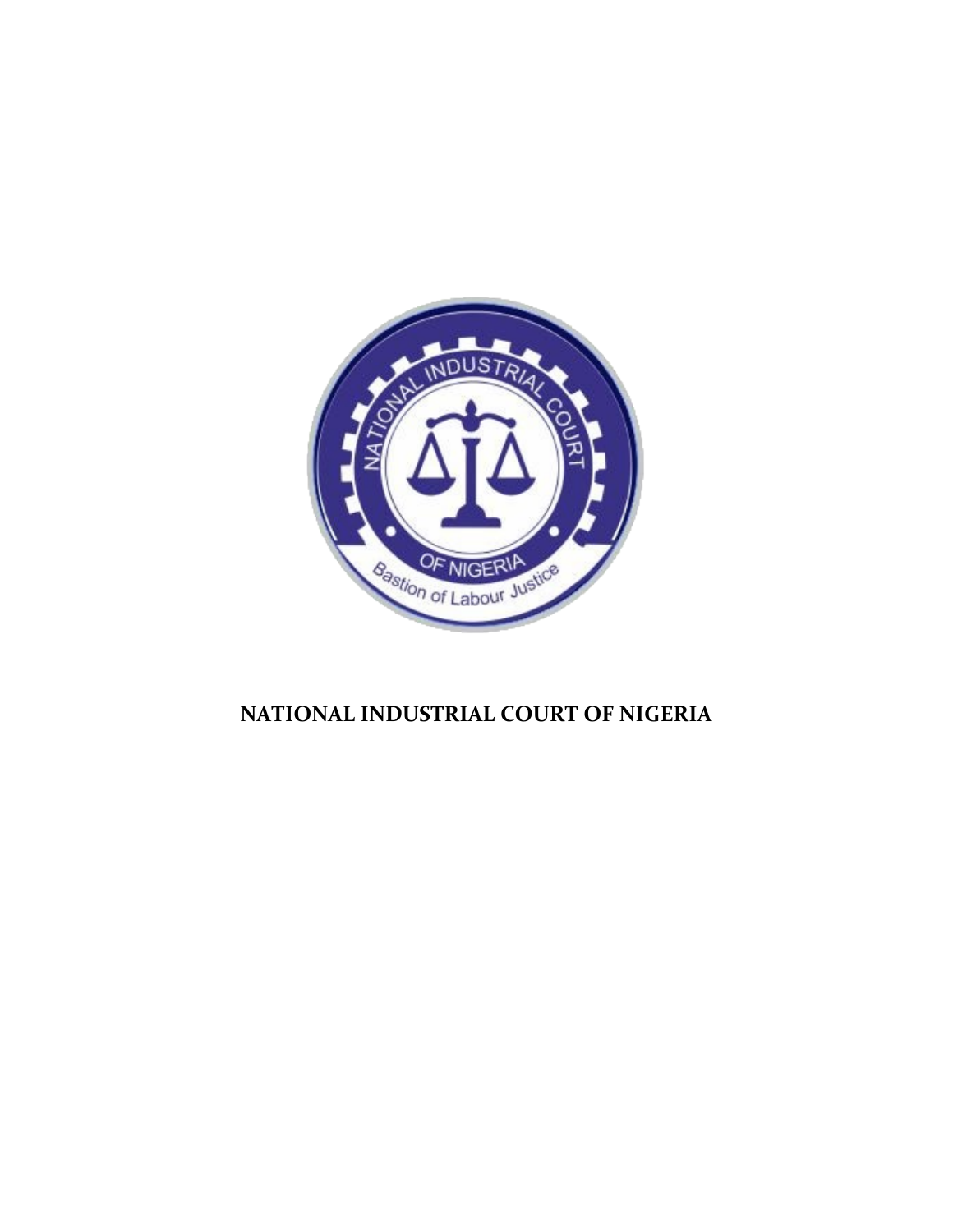

# **NATIONAL INDUSTRIAL COURT OF NIGERIA**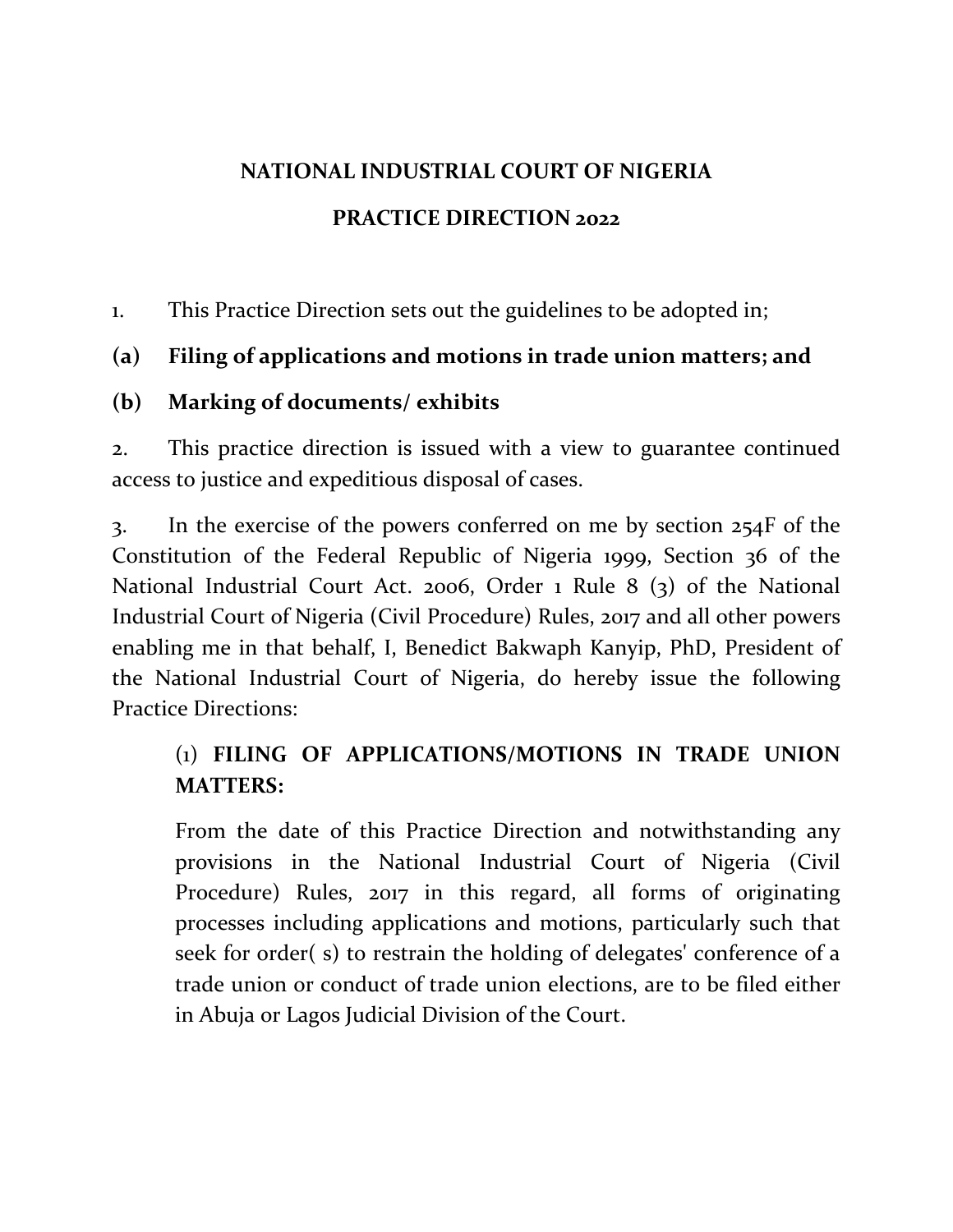# **NATIONAL INDUSTRIAL COURT OF NIGERIA**

### **PRACTICE DIRECTION 2022**

1. This Practice Direction sets out the guidelines to be adopted in;

## **(a) Filing of applications and motions in trade union matters; and**

### **(b) Marking of documents/ exhibits**

2. This practice direction is issued with a view to guarantee continued access to justice and expeditious disposal of cases.

3. In the exercise of the powers conferred on me by section 254F of the Constitution of the Federal Republic of Nigeria 1999, Section 36 of the National Industrial Court Act. 2006, Order 1 Rule 8 (3) of the National Industrial Court of Nigeria (Civil Procedure) Rules, 2017 and all other powers enabling me in that behalf, I, Benedict Bakwaph Kanyip, PhD, President of the National Industrial Court of Nigeria, do hereby issue the following Practice Directions:

## (1) **FILING OF APPLICATIONS/MOTIONS IN TRADE UNION MATTERS:**

From the date of this Practice Direction and notwithstanding any provisions in the National Industrial Court of Nigeria (Civil Procedure) Rules, 2017 in this regard, all forms of originating processes including applications and motions, particularly such that seek for order( s) to restrain the holding of delegates' conference of a trade union or conduct of trade union elections, are to be filed either in Abuja or Lagos Judicial Division of the Court.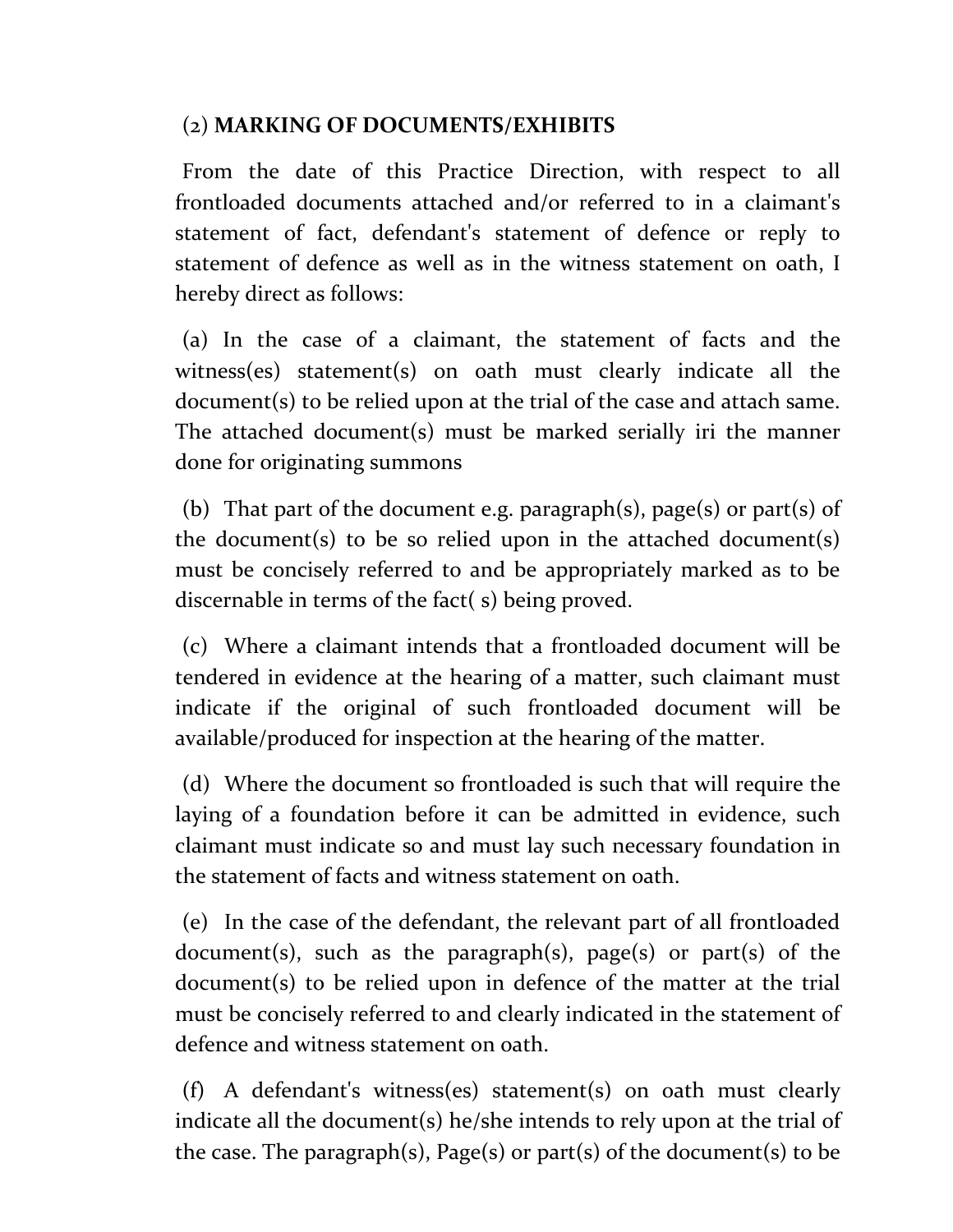### (2) **MARKING OF DOCUMENTS/EXHIBITS**

From the date of this Practice Direction, with respect to all frontloaded documents attached and/or referred to in a claimant's statement of fact, defendant's statement of defence or reply to statement of defence as well as in the witness statement on oath, I hereby direct as follows:

(a) In the case of a claimant, the statement of facts and the witness(es) statement(s) on oath must clearly indicate all the document(s) to be relied upon at the trial of the case and attach same. The attached document(s) must be marked serially iri the manner done for originating summons

(b) That part of the document e.g. paragraph(s), page(s) or part(s) of the document(s) to be so relied upon in the attached document(s) must be concisely referred to and be appropriately marked as to be discernable in terms of the fact( s) being proved.

(c) Where a claimant intends that a frontloaded document will be tendered in evidence at the hearing of a matter, such claimant must indicate if the original of such frontloaded document will be available/produced for inspection at the hearing of the matter.

(d) Where the document so frontloaded is such that will require the laying of a foundation before it can be admitted in evidence, such claimant must indicate so and must lay such necessary foundation in the statement of facts and witness statement on oath.

(e) In the case of the defendant, the relevant part of all frontloaded document(s), such as the paragraph(s), page(s) or part(s) of the document(s) to be relied upon in defence of the matter at the trial must be concisely referred to and clearly indicated in the statement of defence and witness statement on oath.

(f) A defendant's witness(es) statement(s) on oath must clearly indicate all the document(s) he/she intends to rely upon at the trial of the case. The paragraph(s), Page(s) or part(s) of the document(s) to be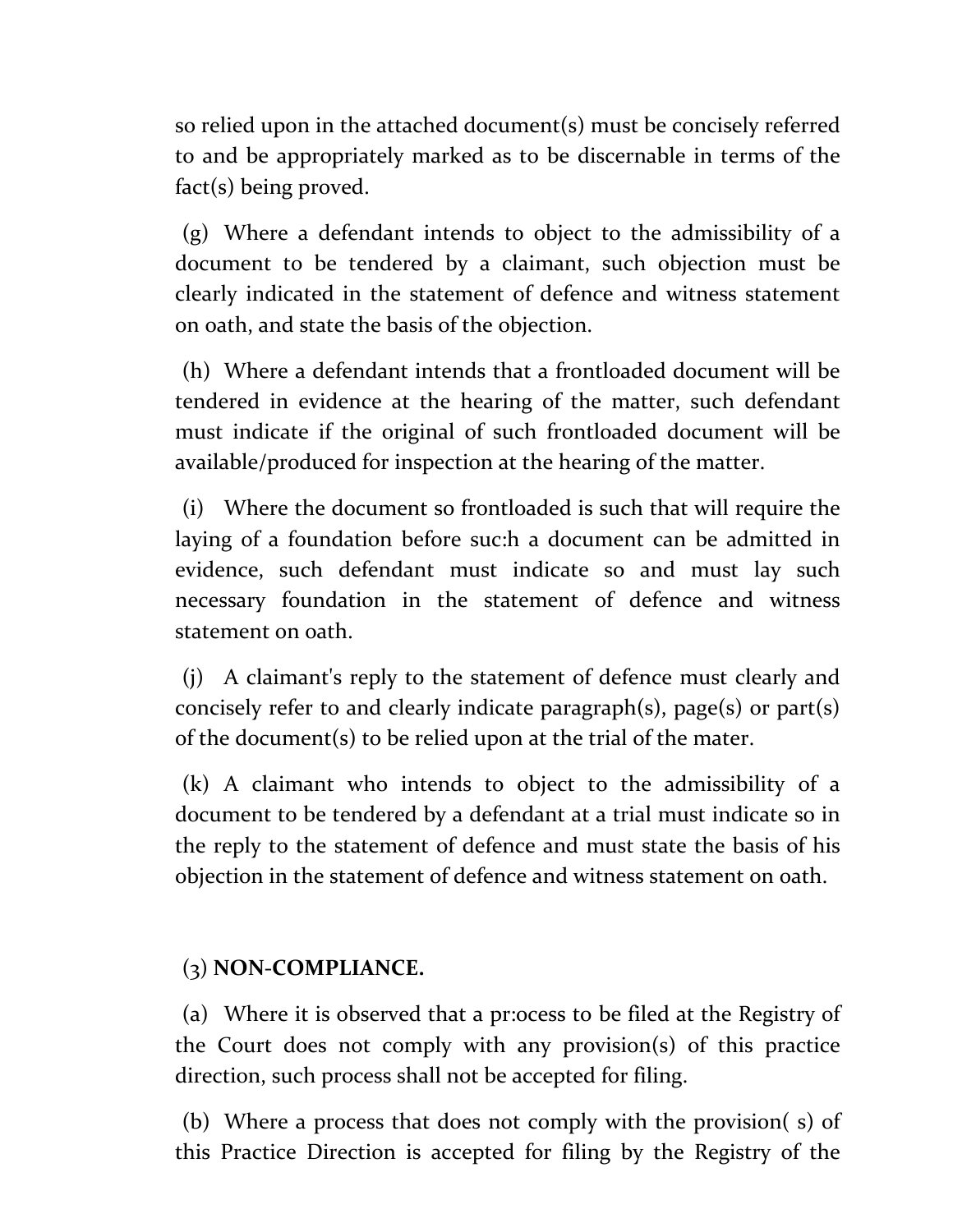so relied upon in the attached document(s) must be concisely referred to and be appropriately marked as to be discernable in terms of the fact(s) being proved.

(g) Where a defendant intends to object to the admissibility of a document to be tendered by a claimant, such objection must be clearly indicated in the statement of defence and witness statement on oath, and state the basis of the objection.

(h) Where a defendant intends that a frontloaded document will be tendered in evidence at the hearing of the matter, such defendant must indicate if the original of such frontloaded document will be available/produced for inspection at the hearing of the matter.

(i) Where the document so frontloaded is such that will require the laying of a foundation before suc:h a document can be admitted in evidence, such defendant must indicate so and must lay such necessary foundation in the statement of defence and witness statement on oath.

(j) A claimant's reply to the statement of defence must clearly and concisely refer to and clearly indicate paragraph(s), page(s) or part(s) of the document(s) to be relied upon at the trial of the mater.

(k) A claimant who intends to object to the admissibility of a document to be tendered by a defendant at a trial must indicate so in the reply to the statement of defence and must state the basis of his objection in the statement of defence and witness statement on oath.

#### (3) **NON-COMPLIANCE.**

(a) Where it is observed that a pr:ocess to be filed at the Registry of the Court does not comply with any provision(s) of this practice direction, such process shall not be accepted for filing.

(b) Where a process that does not comply with the provision( s) of this Practice Direction is accepted for filing by the Registry of the